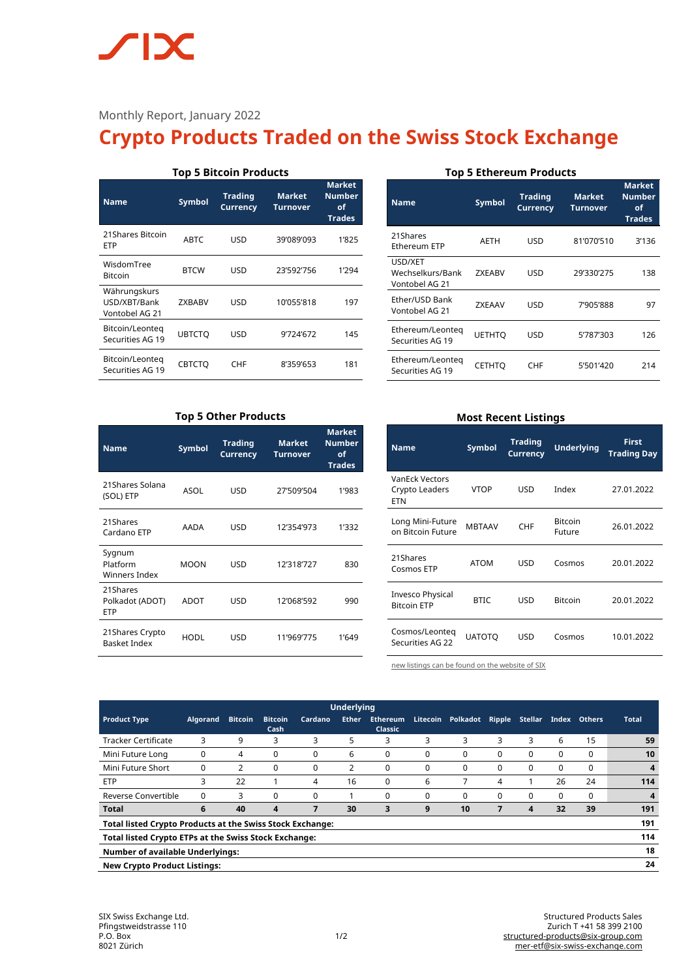# $\sqrt{\phantom{a}}$ **IX**

# Monthly Report, January 2022

# **Crypto Products Traded on the Swiss Stock Exchange**

| <b>Top 5 Bitcoin Products</b>                  |               |                                   |                                  |                                                |  |  |  |
|------------------------------------------------|---------------|-----------------------------------|----------------------------------|------------------------------------------------|--|--|--|
| <b>Name</b>                                    | <b>Symbol</b> | <b>Trading</b><br><b>Currency</b> | <b>Market</b><br><b>Turnover</b> | <b>Market</b><br>Number<br>of<br><b>Trades</b> |  |  |  |
| 21 Shares Bitcoin<br>ETP                       | <b>ABTC</b>   | USD                               | 39'089'093                       | 1'825                                          |  |  |  |
| WisdomTree<br><b>Bitcoin</b>                   | <b>BTCW</b>   | USD                               | 23'592'756                       | 1'294                                          |  |  |  |
| Währungskurs<br>USD/XBT/Bank<br>Vontobel AG 21 | <b>ZXBABV</b> | USD                               | 10'055'818                       | 197                                            |  |  |  |
| Bitcoin/Leonteg<br>Securities AG 19            | <b>UBTCTO</b> | USD                               | 9'724'672                        | 145                                            |  |  |  |
| Bitcoin/Leonteg<br>Securities AG 19            | <b>CBTCTO</b> | CHF                               | 8'359'653                        | 181                                            |  |  |  |

## **Top 5 Ethereum Products**

| <b>Name</b>                                   | <b>Symbol</b> | <b>Trading</b><br><b>Currency</b> | <b>Market</b><br>Turnover | <b>Market</b><br><b>Number</b><br>οf<br><b>Trades</b> |
|-----------------------------------------------|---------------|-----------------------------------|---------------------------|-------------------------------------------------------|
| 21Shares<br>Ethereum ETP                      | AETH          | USD                               | 81'070'510                | 3'136                                                 |
| USD/XET<br>Wechselkurs/Bank<br>Vontobel AG 21 | <b>7XFARV</b> | USD                               | 29'330'275                | 138                                                   |
| Ether/USD Bank<br>Vontobel AG 21              | <b>7XFAAV</b> | USD                               | 7'905'888                 | 97                                                    |
| Ethereum/Leonteg<br>Securities AG 19          | <b>UETHTO</b> | USD                               | 5'787'303                 | 126                                                   |
| Ethereum/Leonteg<br>Securities AG 19          | <b>CETHTO</b> | <b>CHF</b>                        | 5'501'420                 | 214                                                   |

# **Top 5 Other Products**

| <b>Name</b>                               | <b>Symbol</b> | <b>Trading</b><br><b>Currency</b> | <b>Market</b><br><b>Turnover</b> | <b>Market</b><br><b>Number</b><br>of<br><b>Trades</b> |
|-------------------------------------------|---------------|-----------------------------------|----------------------------------|-------------------------------------------------------|
| 21Shares Solana<br>(SOL) ETP              | ASOL          | USD                               | 27'509'504                       | 1'983                                                 |
| 21Shares<br>Cardano ETP                   | AADA          | USD                               | 12'354'973                       | 1'332                                                 |
| Sygnum<br>Platform<br>Winners Index       | <b>MOON</b>   | USD                               | 12'318'727                       | 830                                                   |
| 21Shares<br>Polkadot (ADOT)<br><b>ETP</b> | ADOT          | USD                               | 12'068'592                       | 990                                                   |
| 21 Shares Crypto<br><b>Basket Index</b>   | <b>HODL</b>   | USD                               | 11'969'775                       | 1'649                                                 |

## **Most Recent Listings**

| <b>Name</b>                                           | <b>Symbol</b> | <b>Trading</b><br><b>Currency</b> | Underlying               | <b>First</b><br><b>Trading Day</b> |  |
|-------------------------------------------------------|---------------|-----------------------------------|--------------------------|------------------------------------|--|
| <b>VanEck Vectors</b><br>Crypto Leaders<br><b>ETN</b> | <b>VTOP</b>   | <b>USD</b>                        | Index                    | 27.01.2022                         |  |
| Long Mini-Future<br>on Bitcoin Future                 | <b>MBTAAV</b> | <b>CHF</b>                        | <b>Bitcoin</b><br>Future | 26.01.2022                         |  |
| 21Shares<br>Cosmos ETP                                | <b>ATOM</b>   | USD                               | Cosmos                   | 20.01.2022                         |  |
| <b>Invesco Physical</b><br><b>Bitcoin ETP</b>         | <b>BTIC</b>   | USD                               | <b>Bitcoin</b>           | 20.01.2022                         |  |
| Cosmos/Leonteg<br>Securities AG 22                    | <b>UATOTO</b> | USD                               | Cosmos                   | 10.01.2022                         |  |

[new listings can be found on the website of SIX](https://www.six-structured-products.com/de/suche/Krypto%20Produkte)

| <b>Underlying</b>                                                       |          |                |                         |          |              |                                   |          |          |               |          |       |               |              |
|-------------------------------------------------------------------------|----------|----------------|-------------------------|----------|--------------|-----------------------------------|----------|----------|---------------|----------|-------|---------------|--------------|
| <b>Product Type</b>                                                     | Algorand | <b>Bitcoin</b> | <b>Bitcoin</b><br>Cash  | Cardano  | <b>Ether</b> | <b>Ethereum</b><br><b>Classic</b> | Litecoin | Polkadot | <b>Ripple</b> | Stellar  | Index | <b>Others</b> | <b>Total</b> |
| <b>Tracker Certificate</b>                                              | 3        | 9              | 3                       | 3        | 5            | 3                                 | 3        | 3        | 3             | 3        | 6     | 15            | 59           |
| Mini Future Long                                                        | $\Omega$ | 4              | 0                       | 0        | 6            | $\Omega$                          | $\Omega$ | $\Omega$ | $\Omega$      | 0        | 0     | $\Omega$      | 10           |
| Mini Future Short                                                       | $\Omega$ | 2              | 0                       | $\Omega$ |              | 0                                 | 0        | 0        | $\Omega$      | $\Omega$ | 0     | $\Omega$      | 4            |
| <b>ETP</b>                                                              | 3        | 22             |                         | 4        | 16           | 0                                 | 6        | 7        | 4             |          | 26    | 24            | 114          |
| Reverse Convertible                                                     | $\Omega$ | 3              | $\Omega$                | $\Omega$ |              | 0                                 | $\Omega$ | 0        | $\Omega$      | $\Omega$ | 0     | $\Omega$      | 4            |
| <b>Total</b>                                                            | 6        | 40             | $\overline{\mathbf{4}}$ | 7        | 30           | 3                                 | 9        | 10       |               | 4        | 32    | 39            | 191          |
| 191<br><b>Total listed Crypto Products at the Swiss Stock Exchange:</b> |          |                |                         |          |              |                                   |          |          |               |          |       |               |              |
| 114<br>Total listed Crypto ETPs at the Swiss Stock Exchange:            |          |                |                         |          |              |                                   |          |          |               |          |       |               |              |
| 18<br><b>Number of available Underlyings:</b>                           |          |                |                         |          |              |                                   |          |          |               |          |       |               |              |
| 24<br><b>New Crypto Product Listings:</b>                               |          |                |                         |          |              |                                   |          |          |               |          |       |               |              |